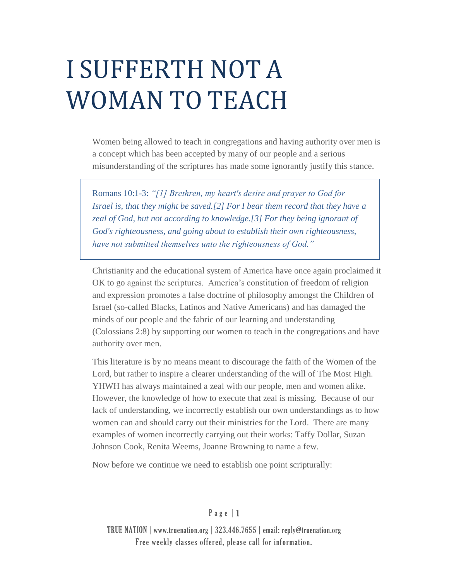# I SUFFERTH NOT A WOMAN TO TEACH

Women being allowed to teach in congregations and having authority over men is a concept which has been accepted by many of our people and a serious misunderstanding of the scriptures has made some ignorantly justify this stance.

Romans 10:1-3: *"[1] Brethren, my heart's desire and prayer to God for Israel is, that they might be saved.[2] For I bear them record that they have a zeal of God, but not according to knowledge.[3] For they being ignorant of God's righteousness, and going about to establish their own righteousness, have not submitted themselves unto the righteousness of God."*

Christianity and the educational system of America have once again proclaimed it OK to go against the scriptures. America's constitution of freedom of religion and expression promotes a false doctrine of philosophy amongst the Children of Israel (so-called Blacks, Latinos and Native Americans) and has damaged the minds of our people and the fabric of our learning and understanding (Colossians 2:8) by supporting our women to teach in the congregations and have authority over men.

This literature is by no means meant to discourage the faith of the Women of the Lord, but rather to inspire a clearer understanding of the will of The Most High. YHWH has always maintained a zeal with our people, men and women alike. However, the knowledge of how to execute that zeal is missing. Because of our lack of understanding, we incorrectly establish our own understandings as to how women can and should carry out their ministries for the Lord. There are many examples of women incorrectly carrying out their works: Taffy Dollar, Suzan Johnson Cook, Renita Weems, Joanne Browning to name a few.

Now before we continue we need to establish one point scripturally:

## $P$  a g e  $|1$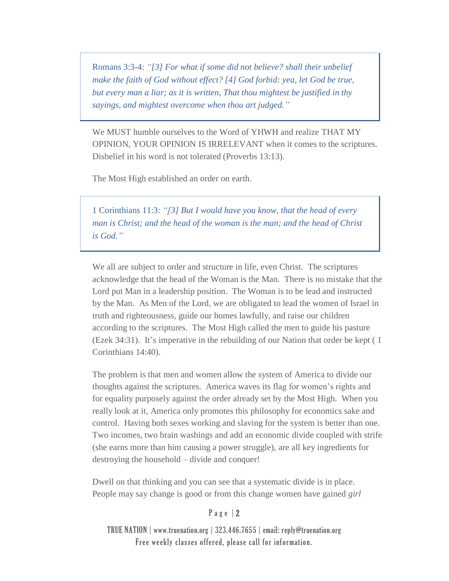Romans 3:3-4: *"[3] For what if some did not believe? shall their unbelief make the faith of God without effect? [4] God forbid: yea, let God be true, but every man a liar; as it is written, That thou mightest be justified in thy sayings, and mightest overcome when thou art judged."*

We MUST humble ourselves to the Word of YHWH and realize THAT MY OPINION, YOUR OPINION IS IRRELEVANT when it comes to the scriptures. Disbelief in his word is not tolerated (Proverbs 13:13).

The Most High established an order on earth.

1 Corinthians 11:3: *"[3] But I would have you know, that the head of every man is Christ; and the head of the woman is the man; and the head of Christ is God."*

We all are subject to order and structure in life, even Christ. The scriptures acknowledge that the head of the Woman is the Man. There is no mistake that the Lord put Man in a leadership position. The Woman is to be lead and instructed by the Man. As Men of the Lord, we are obligated to lead the women of Israel in truth and righteousness, guide our homes lawfully, and raise our children according to the scriptures. The Most High called the men to guide his pasture (Ezek 34:31). It's imperative in the rebuilding of our Nation that order be kept ( 1 Corinthians 14:40).

The problem is that men and women allow the system of America to divide our thoughts against the scriptures. America waves its flag for women's rights and for equality purposely against the order already set by the Most High. When you really look at it, America only promotes this philosophy for economics sake and control. Having both sexes working and slaving for the system is better than one. Two incomes, two brain washings and add an economic divide coupled with strife (she earns more than him causing a power struggle), are all key ingredients for destroying the household – divide and conquer!

Dwell on that thinking and you can see that a systematic divide is in place. People may say change is good or from this change women have gained *girl* 

## P a g e | 2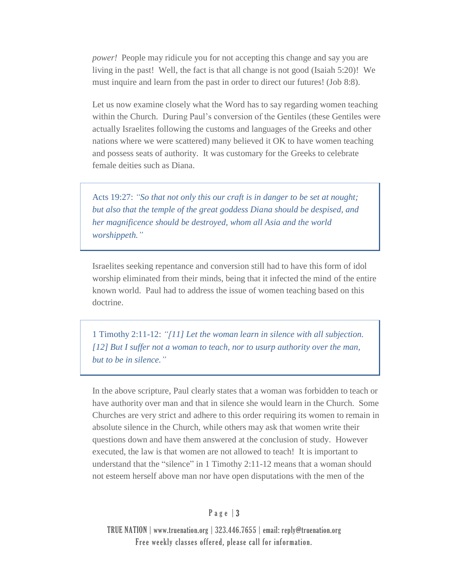*power!* People may ridicule you for not accepting this change and say you are living in the past! Well, the fact is that all change is not good (Isaiah 5:20)! We must inquire and learn from the past in order to direct our futures! (Job 8:8).

Let us now examine closely what the Word has to say regarding women teaching within the Church. During Paul's conversion of the Gentiles (these Gentiles were actually Israelites following the customs and languages of the Greeks and other nations where we were scattered) many believed it OK to have women teaching and possess seats of authority. It was customary for the Greeks to celebrate female deities such as Diana.

Acts 19:27: *"So that not only this our craft is in danger to be set at nought; but also that the temple of the great goddess Diana should be despised, and her magnificence should be destroyed, whom all Asia and the world worshippeth."*

Israelites seeking repentance and conversion still had to have this form of idol worship eliminated from their minds, being that it infected the mind of the entire known world. Paul had to address the issue of women teaching based on this doctrine.

1 Timothy 2:11-12: *"[11] Let the woman learn in silence with all subjection. [12] But I suffer not a woman to teach, nor to usurp authority over the man, but to be in silence."*

In the above scripture, Paul clearly states that a woman was forbidden to teach or have authority over man and that in silence she would learn in the Church. Some Churches are very strict and adhere to this order requiring its women to remain in absolute silence in the Church, while others may ask that women write their questions down and have them answered at the conclusion of study. However executed, the law is that women are not allowed to teach! It is important to understand that the "silence" in 1 Timothy 2:11-12 means that a woman should not esteem herself above man nor have open disputations with the men of the

#### P a g e | 3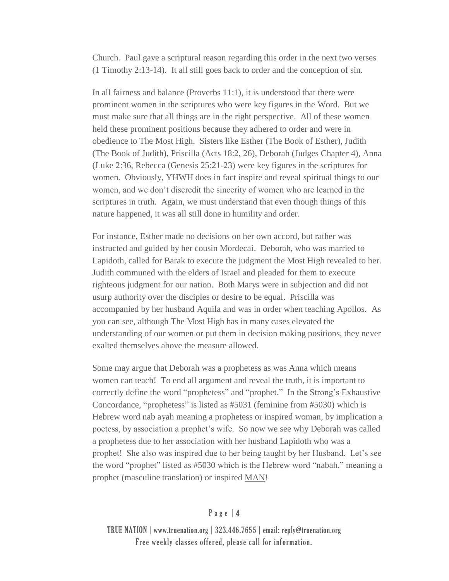Church. Paul gave a scriptural reason regarding this order in the next two verses (1 Timothy 2:13-14). It all still goes back to order and the conception of sin.

In all fairness and balance (Proverbs 11:1), it is understood that there were prominent women in the scriptures who were key figures in the Word. But we must make sure that all things are in the right perspective. All of these women held these prominent positions because they adhered to order and were in obedience to The Most High. Sisters like Esther (The Book of Esther), Judith (The Book of Judith), Priscilla (Acts 18:2, 26), Deborah (Judges Chapter 4), Anna (Luke 2:36, Rebecca (Genesis 25:21-23) were key figures in the scriptures for women. Obviously, YHWH does in fact inspire and reveal spiritual things to our women, and we don't discredit the sincerity of women who are learned in the scriptures in truth. Again, we must understand that even though things of this nature happened, it was all still done in humility and order.

For instance, Esther made no decisions on her own accord, but rather was instructed and guided by her cousin Mordecai. Deborah, who was married to Lapidoth, called for Barak to execute the judgment the Most High revealed to her. Judith communed with the elders of Israel and pleaded for them to execute righteous judgment for our nation. Both Marys were in subjection and did not usurp authority over the disciples or desire to be equal. Priscilla was accompanied by her husband Aquila and was in order when teaching Apollos. As you can see, although The Most High has in many cases elevated the understanding of our women or put them in decision making positions, they never exalted themselves above the measure allowed.

Some may argue that Deborah was a prophetess as was Anna which means women can teach! To end all argument and reveal the truth, it is important to correctly define the word "prophetess" and "prophet." In the Strong's Exhaustive Concordance, "prophetess" is listed as #5031 (feminine from #5030) which is Hebrew word nab ayah meaning a prophetess or inspired woman, by implication a poetess, by association a prophet's wife. So now we see why Deborah was called a prophetess due to her association with her husband Lapidoth who was a prophet! She also was inspired due to her being taught by her Husband. Let's see the word "prophet" listed as #5030 which is the Hebrew word "nabah." meaning a prophet (masculine translation) or inspired MAN!

#### $P$  a g e  $|$  4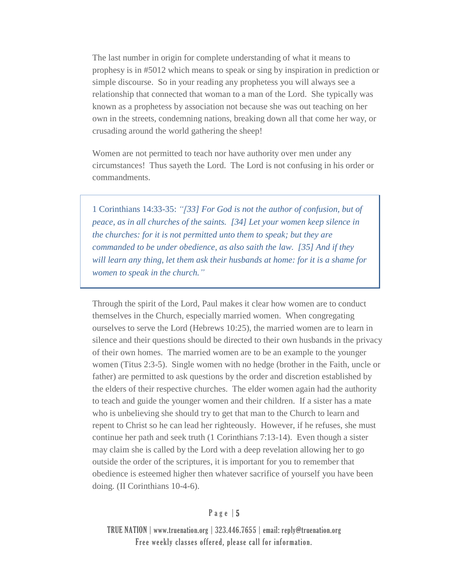The last number in origin for complete understanding of what it means to prophesy is in #5012 which means to speak or sing by inspiration in prediction or simple discourse. So in your reading any prophetess you will always see a relationship that connected that woman to a man of the Lord. She typically was known as a prophetess by association not because she was out teaching on her own in the streets, condemning nations, breaking down all that come her way, or crusading around the world gathering the sheep!

Women are not permitted to teach nor have authority over men under any circumstances! Thus sayeth the Lord. The Lord is not confusing in his order or commandments.

1 Corinthians 14:33-35: *"[33] For God is not the author of confusion, but of peace, as in all churches of the saints. [34] Let your women keep silence in the churches: for it is not permitted unto them to speak; but they are commanded to be under obedience, as also saith the law. [35] And if they will learn any thing, let them ask their husbands at home: for it is a shame for women to speak in the church."*

Through the spirit of the Lord, Paul makes it clear how women are to conduct themselves in the Church, especially married women. When congregating ourselves to serve the Lord (Hebrews 10:25), the married women are to learn in silence and their questions should be directed to their own husbands in the privacy of their own homes. The married women are to be an example to the younger women (Titus 2:3-5). Single women with no hedge (brother in the Faith, uncle or father) are permitted to ask questions by the order and discretion established by the elders of their respective churches. The elder women again had the authority to teach and guide the younger women and their children. If a sister has a mate who is unbelieving she should try to get that man to the Church to learn and repent to Christ so he can lead her righteously. However, if he refuses, she must continue her path and seek truth (1 Corinthians 7:13-14). Even though a sister may claim she is called by the Lord with a deep revelation allowing her to go outside the order of the scriptures, it is important for you to remember that obedience is esteemed higher then whatever sacrifice of yourself you have been doing. (II Corinthians 10-4-6).

## P a g e | 5